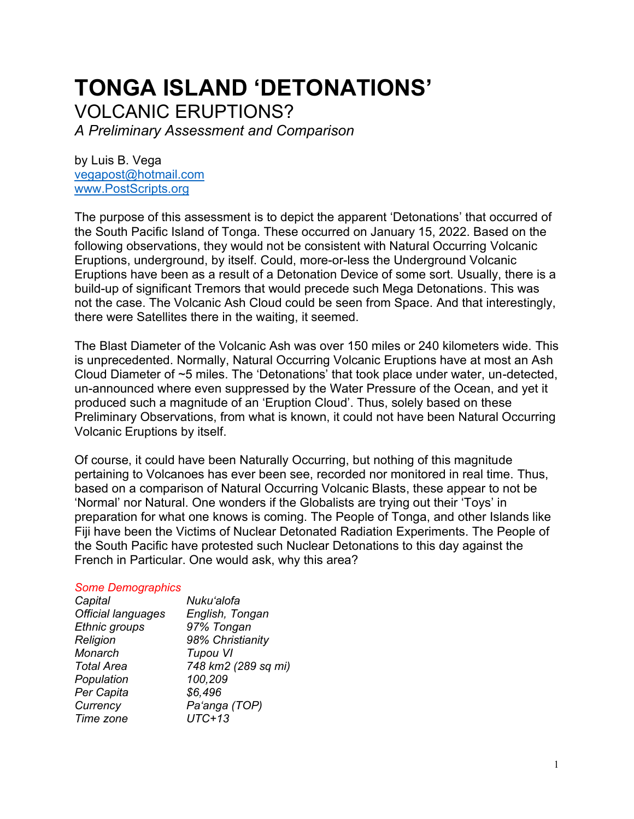# **TONGA ISLAND 'DETONATIONS'** VOLCANIC ERUPTIONS?

*A Preliminary Assessment and Comparison*

by Luis B. Vega [vegapost@hotmail.com](mailto:vegapost@hotmail.com) [www.PostScripts.org](http://www.postscripts.org/)

The purpose of this assessment is to depict the apparent 'Detonations' that occurred of the South Pacific Island of Tonga. These occurred on January 15, 2022. Based on the following observations, they would not be consistent with Natural Occurring Volcanic Eruptions, underground, by itself. Could, more-or-less the Underground Volcanic Eruptions have been as a result of a Detonation Device of some sort. Usually, there is a build-up of significant Tremors that would precede such Mega Detonations. This was not the case. The Volcanic Ash Cloud could be seen from Space. And that interestingly, there were Satellites there in the waiting, it seemed.

The Blast Diameter of the Volcanic Ash was over 150 miles or 240 kilometers wide. This is unprecedented. Normally, Natural Occurring Volcanic Eruptions have at most an Ash Cloud Diameter of ~5 miles. The 'Detonations' that took place under water, un-detected, un-announced where even suppressed by the Water Pressure of the Ocean, and yet it produced such a magnitude of an 'Eruption Cloud'. Thus, solely based on these Preliminary Observations, from what is known, it could not have been Natural Occurring Volcanic Eruptions by itself.

Of course, it could have been Naturally Occurring, but nothing of this magnitude pertaining to Volcanoes has ever been see, recorded nor monitored in real time. Thus, based on a comparison of Natural Occurring Volcanic Blasts, these appear to not be 'Normal' nor Natural. One wonders if the Globalists are trying out their 'Toys' in preparation for what one knows is coming. The People of Tonga, and other Islands like Fiji have been the Victims of Nuclear Detonated Radiation Experiments. The People of the South Pacific have protested such Nuclear Detonations to this day against the French in Particular. One would ask, why this area?

### *Some Demographics*

| Capital                   | Nuku'alofa          |
|---------------------------|---------------------|
| <b>Official languages</b> | English, Tongan     |
| Ethnic groups             | 97% Tongan          |
| Religion                  | 98% Christianity    |
| Monarch                   | <b>Tupou VI</b>     |
| <b>Total Area</b>         | 748 km2 (289 sq mi) |
| Population                | 100,209             |
| Per Capita                | \$6,496             |
| Currency                  | Pa'anga (TOP)       |
| Time zone                 | $UTC+13$            |
|                           |                     |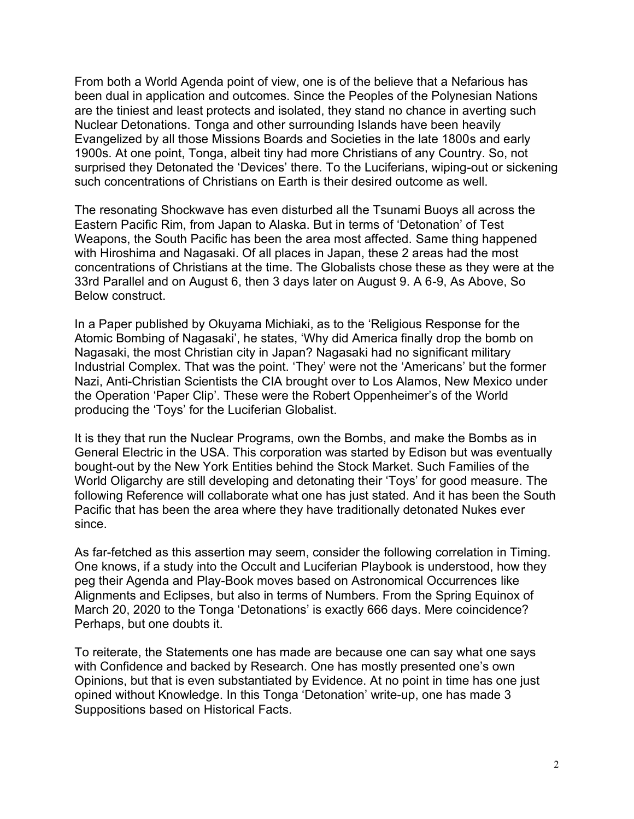From both a World Agenda point of view, one is of the believe that a Nefarious has been dual in application and outcomes. Since the Peoples of the Polynesian Nations are the tiniest and least protects and isolated, they stand no chance in averting such Nuclear Detonations. Tonga and other surrounding Islands have been heavily Evangelized by all those Missions Boards and Societies in the late 1800s and early 1900s. At one point, Tonga, albeit tiny had more Christians of any Country. So, not surprised they Detonated the 'Devices' there. To the Luciferians, wiping-out or sickening such concentrations of Christians on Earth is their desired outcome as well.

The resonating Shockwave has even disturbed all the Tsunami Buoys all across the Eastern Pacific Rim, from Japan to Alaska. But in terms of 'Detonation' of Test Weapons, the South Pacific has been the area most affected. Same thing happened with Hiroshima and Nagasaki. Of all places in Japan, these 2 areas had the most concentrations of Christians at the time. The Globalists chose these as they were at the 33rd Parallel and on August 6, then 3 days later on August 9. A 6-9, As Above, So Below construct.

In a Paper published by Okuyama Michiaki, as to the 'Religious Response for the Atomic Bombing of Nagasaki', he states, 'Why did America finally drop the bomb on Nagasaki, the most Christian city in Japan? Nagasaki had no significant military Industrial Complex. That was the point. 'They' were not the 'Americans' but the former Nazi, Anti-Christian Scientists the CIA brought over to Los Alamos, New Mexico under the Operation 'Paper Clip'. These were the Robert Oppenheimer's of the World producing the 'Toys' for the Luciferian Globalist.

It is they that run the Nuclear Programs, own the Bombs, and make the Bombs as in General Electric in the USA. This corporation was started by Edison but was eventually bought-out by the New York Entities behind the Stock Market. Such Families of the World Oligarchy are still developing and detonating their 'Toys' for good measure. The following Reference will collaborate what one has just stated. And it has been the South Pacific that has been the area where they have traditionally detonated Nukes ever since.

As far-fetched as this assertion may seem, consider the following correlation in Timing. One knows, if a study into the Occult and Luciferian Playbook is understood, how they peg their Agenda and Play-Book moves based on Astronomical Occurrences like Alignments and Eclipses, but also in terms of Numbers. From the Spring Equinox of March 20, 2020 to the Tonga 'Detonations' is exactly 666 days. Mere coincidence? Perhaps, but one doubts it.

To reiterate, the Statements one has made are because one can say what one says with Confidence and backed by Research. One has mostly presented one's own Opinions, but that is even substantiated by Evidence. At no point in time has one just opined without Knowledge. In this Tonga 'Detonation' write-up, one has made 3 Suppositions based on Historical Facts.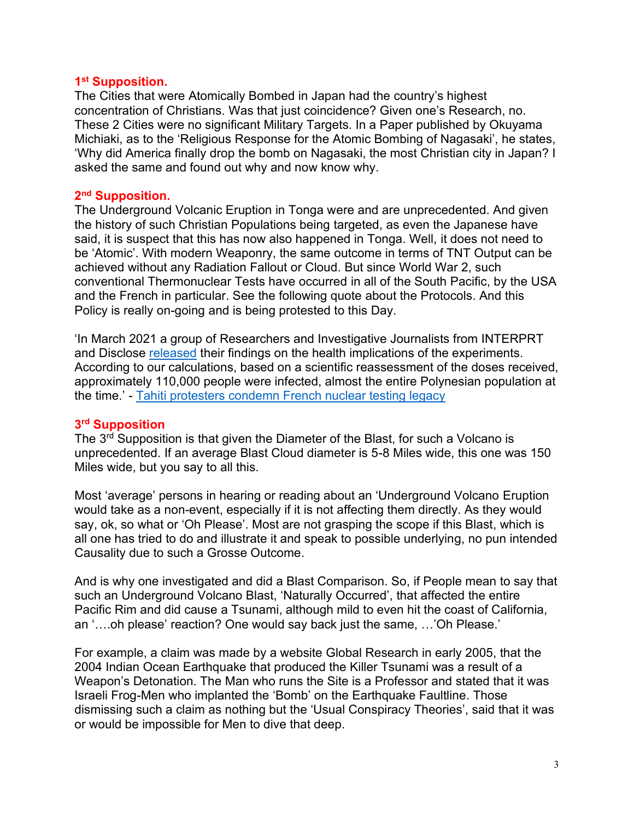### **1 st Supposition.**

The Cities that were Atomically Bombed in Japan had the country's highest concentration of Christians. Was that just coincidence? Given one's Research, no. These 2 Cities were no significant Military Targets. In a Paper published by Okuyama Michiaki, as to the 'Religious Response for the Atomic Bombing of Nagasaki', he states, 'Why did America finally drop the bomb on Nagasaki, the most Christian city in Japan? I asked the same and found out why and now know why.

## **2 nd Supposition.**

The Underground Volcanic Eruption in Tonga were and are unprecedented. And given the history of such Christian Populations being targeted, as even the Japanese have said, it is suspect that this has now also happened in Tonga. Well, it does not need to be 'Atomic'. With modern Weaponry, the same outcome in terms of TNT Output can be achieved without any Radiation Fallout or Cloud. But since World War 2, such conventional Thermonuclear Tests have occurred in all of the South Pacific, by the USA and the French in particular. See the following quote about the Protocols. And this Policy is really on-going and is being protested to this Day.

'In March 2021 a group of Researchers and Investigative Journalists from INTERPRT and Disclose [released](https://moruroa-files.org/en/investigation/moruroa-files) their findings on the health implications of the experiments. According to our calculations, based on a scientific reassessment of the doses received, approximately 110,000 people were infected, almost the entire Polynesian population at the time.' - [Tahiti protesters condemn French nuclear testing legacy](https://globalvoices.org/2021/07/23/maohi-lives-matter-tahiti-protesters-condemn-french-nuclear-testing-legacy/)

### **3 rd Supposition**

The 3<sup>rd</sup> Supposition is that given the Diameter of the Blast, for such a Volcano is unprecedented. If an average Blast Cloud diameter is 5-8 Miles wide, this one was 150 Miles wide, but you say to all this.

Most 'average' persons in hearing or reading about an 'Underground Volcano Eruption would take as a non-event, especially if it is not affecting them directly. As they would say, ok, so what or 'Oh Please'. Most are not grasping the scope if this Blast, which is all one has tried to do and illustrate it and speak to possible underlying, no pun intended Causality due to such a Grosse Outcome.

And is why one investigated and did a Blast Comparison. So, if People mean to say that such an Underground Volcano Blast, 'Naturally Occurred', that affected the entire Pacific Rim and did cause a Tsunami, although mild to even hit the coast of California, an '….oh please' reaction? One would say back just the same, …'Oh Please.'

For example, a claim was made by a website Global Research in early 2005, that the 2004 Indian Ocean Earthquake that produced the Killer Tsunami was a result of a Weapon's Detonation. The Man who runs the Site is a Professor and stated that it was Israeli Frog-Men who implanted the 'Bomb' on the Earthquake Faultline. Those dismissing such a claim as nothing but the 'Usual Conspiracy Theories', said that it was or would be impossible for Men to dive that deep.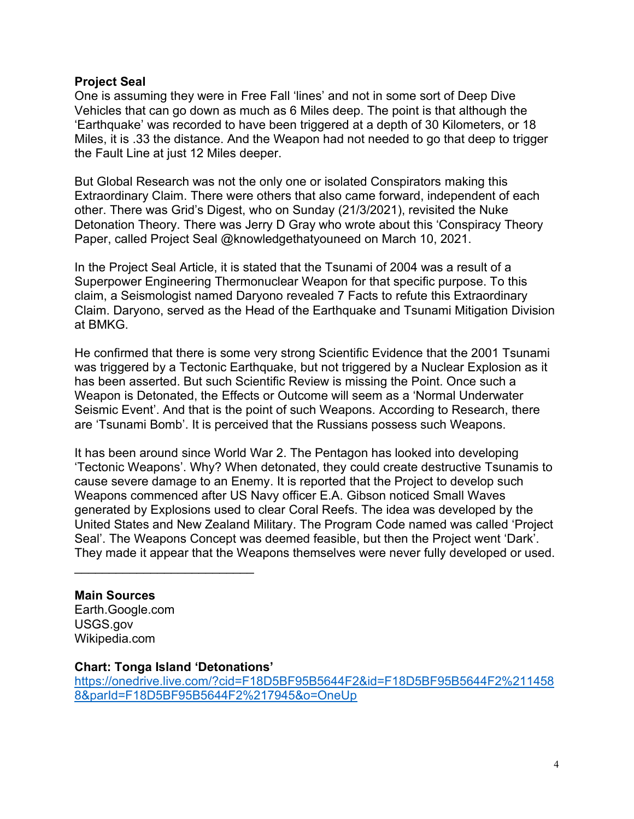## **Project Seal**

One is assuming they were in Free Fall 'lines' and not in some sort of Deep Dive Vehicles that can go down as much as 6 Miles deep. The point is that although the 'Earthquake' was recorded to have been triggered at a depth of 30 Kilometers, or 18 Miles, it is .33 the distance. And the Weapon had not needed to go that deep to trigger the Fault Line at just 12 Miles deeper.

But Global Research was not the only one or isolated Conspirators making this Extraordinary Claim. There were others that also came forward, independent of each other. There was Grid's Digest, who on Sunday (21/3/2021), revisited the Nuke Detonation Theory. There was Jerry D Gray who wrote about this 'Conspiracy Theory Paper, called Project Seal @knowledgethatyouneed on March 10, 2021.

In the Project Seal Article, it is stated that the Tsunami of 2004 was a result of a Superpower Engineering Thermonuclear Weapon for that specific purpose. To this claim, a Seismologist named Daryono revealed 7 Facts to refute this Extraordinary Claim. Daryono, served as the Head of the Earthquake and Tsunami Mitigation Division at BMKG.

He confirmed that there is some very strong Scientific Evidence that the 2001 Tsunami was triggered by a Tectonic Earthquake, but not triggered by a Nuclear Explosion as it has been asserted. But such Scientific Review is missing the Point. Once such a Weapon is Detonated, the Effects or Outcome will seem as a 'Normal Underwater Seismic Event'. And that is the point of such Weapons. According to Research, there are 'Tsunami Bomb'. It is perceived that the Russians possess such Weapons.

It has been around since World War 2. The Pentagon has looked into developing 'Tectonic Weapons'. Why? When detonated, they could create destructive Tsunamis to cause severe damage to an Enemy. It is reported that the Project to develop such Weapons commenced after US Navy officer E.A. Gibson noticed Small Waves generated by Explosions used to clear Coral Reefs. The idea was developed by the United States and New Zealand Military. The Program Code named was called 'Project Seal'. The Weapons Concept was deemed feasible, but then the Project went 'Dark'. They made it appear that the Weapons themselves were never fully developed or used.

### **Main Sources**

Earth.Google.com USGS.gov Wikipedia.com

### **Chart: Tonga Island 'Detonations'**

\_\_\_\_\_\_\_\_\_\_\_\_\_\_\_\_\_\_\_\_\_\_\_\_\_\_

[https://onedrive.live.com/?cid=F18D5BF95B5644F2&id=F18D5BF95B5644F2%211458](https://onedrive.live.com/?cid=F18D5BF95B5644F2&id=F18D5BF95B5644F2%2114588&parId=F18D5BF95B5644F2%217945&o=OneUp) [8&parId=F18D5BF95B5644F2%217945&o=OneUp](https://onedrive.live.com/?cid=F18D5BF95B5644F2&id=F18D5BF95B5644F2%2114588&parId=F18D5BF95B5644F2%217945&o=OneUp)